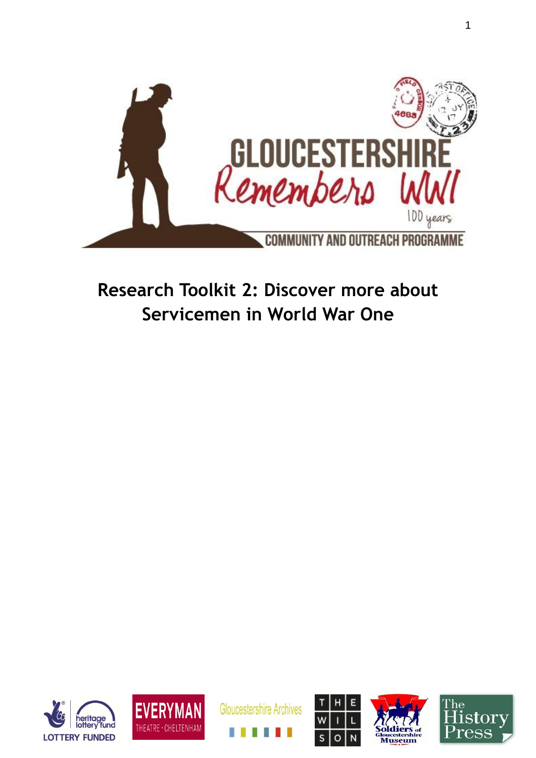

# **Research Toolkit 2: Discover more about Servicemen in World War One**











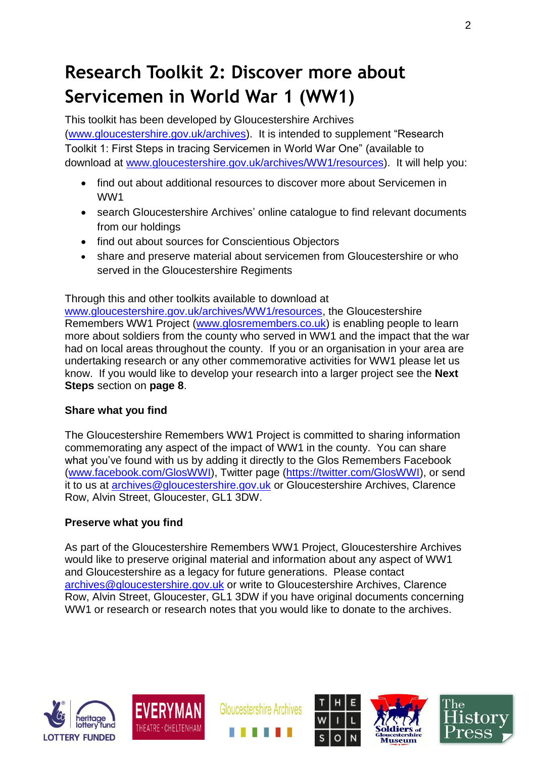# **Research Toolkit 2: Discover more about Servicemen in World War 1 (WW1)**

This toolkit has been developed by Gloucestershire Archives [\(www.gloucestershire.gov.uk/archives\)](http://www.gloucestershire.gov.uk/archives). It is intended to supplement "Research Toolkit 1: First Steps in tracing Servicemen in World War One" (available to download at [www.gloucestershire.gov.uk/archives/WW1/resources\)](http://www.gloucestershire.gov.uk/archives/WW1/resources). It will help you:

- find out about additional resources to discover more about Servicemen in WW1
- search Gloucestershire Archives' online catalogue to find relevant documents from our holdings
- find out about sources for Conscientious Objectors
- share and preserve material about servicemen from Gloucestershire or who served in the Gloucestershire Regiments

Through this and other toolkits available to download at

[www.gloucestershire.gov.uk/archives/WW1/resources,](http://www.gloucestershire.gov.uk/archives/WW1/resources) the Gloucestershire Remembers WW1 Project [\(www.glosremembers.co.uk\)](http://www.glosremembers.co.uk/) is enabling people to learn more about soldiers from the county who served in WW1 and the impact that the war had on local areas throughout the county. If you or an organisation in your area are undertaking research or any other commemorative activities for WW1 please let us know. If you would like to develop your research into a larger project see the **Next Steps** section on **page 8**.

#### **Share what you find**

The Gloucestershire Remembers WW1 Project is committed to sharing information commemorating any aspect of the impact of WW1 in the county. You can share what you've found with us by adding it directly to the Glos Remembers Facebook [\(www.facebook.com/GlosWWI\)](http://www.facebook.com/GlosWWI), Twitter page [\(https://twitter.com/GlosWWI\)](https://twitter.com/GlosWWI), or send it to us at [archives@gloucestershire.gov.uk](mailto:archives@gloucestershire.gov.uk) or Gloucestershire Archives, Clarence Row, Alvin Street, Gloucester, GL1 3DW.

#### **Preserve what you find**

As part of the Gloucestershire Remembers WW1 Project, Gloucestershire Archives would like to preserve original material and information about any aspect of WW1 and Gloucestershire as a legacy for future generations. Please contact [archives@gloucestershire.gov.uk](mailto:archives@gloucestershire.gov.uk) or write to Gloucestershire Archives, Clarence Row, Alvin Street, Gloucester, GL1 3DW if you have original documents concerning WW1 or research or research notes that you would like to donate to the archives.





**Gloucestershire Archives** 





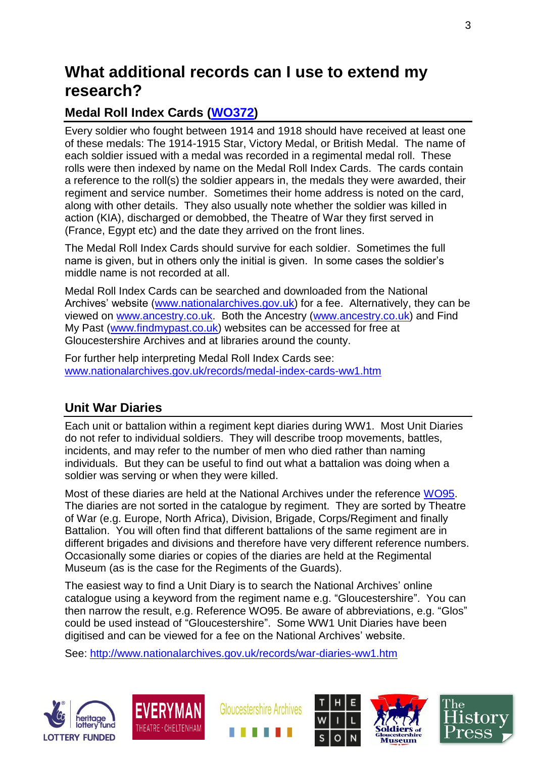## **What additional records can I use to extend my research?**

### **Medal Roll Index Cards [\(WO372\)](http://discovery.nationalarchives.gov.uk/SearchUI/details?Uri=C14576)**

Every soldier who fought between 1914 and 1918 should have received at least one of these medals: The 1914-1915 Star, Victory Medal, or British Medal. The name of each soldier issued with a medal was recorded in a regimental medal roll. These rolls were then indexed by name on the Medal Roll Index Cards. The cards contain a reference to the roll(s) the soldier appears in, the medals they were awarded, their regiment and service number. Sometimes their home address is noted on the card, along with other details. They also usually note whether the soldier was killed in action (KIA), discharged or demobbed, the Theatre of War they first served in (France, Egypt etc) and the date they arrived on the front lines.

The Medal Roll Index Cards should survive for each soldier. Sometimes the full name is given, but in others only the initial is given. In some cases the soldier's middle name is not recorded at all.

Medal Roll Index Cards can be searched and downloaded from the National Archives' website [\(www.nationalarchives.gov.uk\)](http://www.nationalarchives.gov.uk/) for a fee. Alternatively, they can be viewed on [www.ancestry.co.uk.](http://www.ancestry.co.uk/) Both the Ancestry [\(www.ancestry.co.uk\)](http://www.ancestry.co.uk/) and Find My Past [\(www.findmypast.co.uk\)](http://www.findmypast.co.uk/) websites can be accessed for free at Gloucestershire Archives and at libraries around the county.

For further help interpreting Medal Roll Index Cards see: [www.nationalarchives.gov.uk/records/medal-index-cards-ww1.htm](https://mail.gloucestershire.gov.uk/owa/redir.aspx?C=258d9f8a7321445a9a394d71c136ebdb&URL=http%3a%2f%2fwww.nationalarchives.gov.uk%2frecords%2fmedal-index-cards-ww1.htm)

### **Unit War Diaries**

Each unit or battalion within a regiment kept diaries during WW1. Most Unit Diaries do not refer to individual soldiers. They will describe troop movements, battles, incidents, and may refer to the number of men who died rather than naming individuals. But they can be useful to find out what a battalion was doing when a soldier was serving or when they were killed.

Most of these diaries are held at the National Archives under the reference [WO95.](http://discovery.nationalarchives.gov.uk/SearchUI/details?Uri=C14303) The diaries are not sorted in the catalogue by regiment. They are sorted by Theatre of War (e.g. Europe, North Africa), Division, Brigade, Corps/Regiment and finally Battalion. You will often find that different battalions of the same regiment are in different brigades and divisions and therefore have very different reference numbers. Occasionally some diaries or copies of the diaries are held at the Regimental Museum (as is the case for the Regiments of the Guards).

The easiest way to find a Unit Diary is to search the National Archives' online catalogue using a keyword from the regiment name e.g. "Gloucestershire". You can then narrow the result, e.g. Reference WO95. Be aware of abbreviations, e.g. "Glos" could be used instead of "Gloucestershire". Some WW1 Unit Diaries have been digitised and can be viewed for a fee on the National Archives' website.

See:<http://www.nationalarchives.gov.uk/records/war-diaries-ww1.htm>











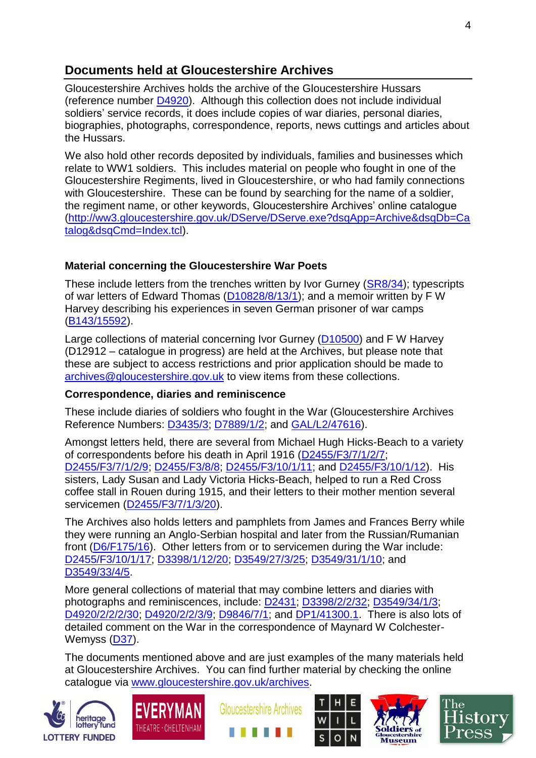### **Documents held at Gloucestershire Archives**

Gloucestershire Archives holds the archive of the Gloucestershire Hussars (reference number [D4920\)](http://ww3.gloucestershire.gov.uk/DServe/dserve.exe?dsqIni=DServeA.ini&dsqApp=Archive&dsqDb=Catalog&dsqCmd=NaviTree.tcl&dsqField=RefNo&dsqItem=D4920#HERE). Although this collection does not include individual soldiers' service records, it does include copies of war diaries, personal diaries, biographies, photographs, correspondence, reports, news cuttings and articles about the Hussars.

We also hold other records deposited by individuals, families and businesses which relate to WW1 soldiers. This includes material on people who fought in one of the Gloucestershire Regiments, lived in Gloucestershire, or who had family connections with Gloucestershire. These can be found by searching for the name of a soldier, the regiment name, or other keywords, Gloucestershire Archives' online catalogue [\(http://ww3.gloucestershire.gov.uk/DServe/DServe.exe?dsqApp=Archive&dsqDb=Ca](http://ww3.gloucestershire.gov.uk/DServe/DServe.exe?dsqApp=Archive&dsqDb=Catalog&dsqCmd=Index.tcl) [talog&dsqCmd=Index.tcl\)](http://ww3.gloucestershire.gov.uk/DServe/DServe.exe?dsqApp=Archive&dsqDb=Catalog&dsqCmd=Index.tcl).

#### **Material concerning the Gloucestershire War Poets**

These include letters from the trenches written by Ivor Gurney [\(SR8/34\)](http://ww3.gloucestershire.gov.uk/DServe/dserve.exe?dsqIni=DServeQ.ini&dsqApp=Archive&dsqCmd=Show.tcl&dsqDb=Catalog&dsqPos=79&dsqSearch=%28AltRefNo%3D%27sr8%27%29); typescripts of war letters of Edward Thomas [\(D10828/8/13/1\)](http://ww3.gloucestershire.gov.uk/DServe/dserve.exe?dsqIni=DServeA.ini&dsqApp=Archive&dsqCmd=Show.tcl&dsqDb=Catalog&dsqPos=0&dsqSearch=%28AltRefNo%3D%27D10828%2F8%2F13%2F1%27%29); and a memoir written by F W Harvey describing his experiences in seven German prisoner of war camps [\(B143/15592\)](http://ww3.gloucestershire.gov.uk/DServe/dserve.exe?dsqIni=DServeQ.ini&dsqApp=Archive&dsqCmd=Show.tcl&dsqDb=Catalog&dsqPos=67&dsqSearch=%28%28%28text%29%3D%27f%27%29AND%28%28text%29%3D%27w%27%29AND%28%28text%29%3D%27harvey%27%29%29).

Large collections of material concerning Ivor Gurney [\(D10500\)](http://ww3.gloucestershire.gov.uk/DServe/dserve.exe?dsqIni=DServeA.ini&dsqApp=Archive&dsqCmd=Overview.tcl&dsqDb=Catalog&dsqSearch=(AltRefNo=) and F W Harvey (D12912 – catalogue in progress) are held at the Archives, but please note that these are subject to access restrictions and prior application should be made to [archives@gloucestershire.gov.uk](mailto:archives@gloucestershire.gov.uk) to view items from these collections.

#### **Correspondence, diaries and reminiscence**

These include diaries of soldiers who fought in the War (Gloucestershire Archives Reference Numbers: [D3435/3;](http://ww3.gloucestershire.gov.uk/DServe/dserve.exe?dsqIni=DServeA.ini&dsqApp=Archive&dsqCmd=Show.tcl&dsqDb=Catalog&dsqPos=0&dsqSearch=%28AltRefNo%3D%27d3435%2F3%27%29) [D7889/1/2;](http://ww3.gloucestershire.gov.uk/DServe/dserve.exe?dsqIni=DServeA.ini&dsqApp=Archive&dsqCmd=Show.tcl&dsqDb=Catalog&dsqPos=0&dsqSearch=%28AltRefNo%3D%27D7889%2F1%2F2%27%29) and [GAL/L2/47616\)](http://ww3.gloucestershire.gov.uk/DServe/dserve.exe?dsqIni=DServeQ.ini&dsqApp=Archive&dsqCmd=Show.tcl&dsqDb=Catalog&dsqPos=17&dsqSearch=%28AltRefNo%3D%27GAL%2FL2%27%29).

Amongst letters held, there are several from Michael Hugh Hicks-Beach to a variety of correspondents before his death in April 1916 [\(D2455/F3/7/1/2/7;](http://ww3.gloucestershire.gov.uk/DServe/dserve.exe?dsqIni=DServeA.ini&dsqApp=Archive&dsqCmd=Show.tcl&dsqDb=Catalog&dsqPos=0&dsqSearch=%28AltRefNo%3D%27D2455%2FF3%2F7%2F1%2F2%2F7%27%29) [D2455/F3/7/1/2/9;](http://ww3.gloucestershire.gov.uk/DServe/dserve.exe?dsqIni=DServeA.ini&dsqApp=Archive&dsqCmd=Show.tcl&dsqDb=Catalog&dsqPos=0&dsqSearch=%28AltRefNo%3D%27D2455%2FF3%2F7%2F1%2F2%2F9%27%29) [D2455/F3/8/8;](http://ww3.gloucestershire.gov.uk/DServe/dserve.exe?dsqIni=DServeA.ini&dsqApp=Archive&dsqCmd=Show.tcl&dsqDb=Catalog&dsqPos=0&dsqSearch=%28AltRefNo%3D%27D2455%2FF3%2F8%2F8%27%29) [D2455/F3/10/1/11;](http://ww3.gloucestershire.gov.uk/DServe/dserve.exe?dsqIni=DServeA.ini&dsqApp=Archive&dsqCmd=Show.tcl&dsqDb=Catalog&dsqPos=0&dsqSearch=%28AltRefNo%3D%27D2455%2FF3%2F10%2F1%2F11%27%29) and [D2455/F3/10/1/12\)](http://ww3.gloucestershire.gov.uk/DServe/dserve.exe?dsqIni=DServeA.ini&dsqApp=Archive&dsqCmd=Show.tcl&dsqDb=Catalog&dsqPos=0&dsqSearch=%28AltRefNo%3D%27D2455%2FF3%2F10%2F1%2F12%27%29). His sisters, Lady Susan and Lady Victoria Hicks-Beach, helped to run a Red Cross coffee stall in Rouen during 1915, and their letters to their mother mention several servicemen [\(D2455/F3/7/1/3/20\)](http://ww3.gloucestershire.gov.uk/DServe/dserve.exe?dsqIni=DServeA.ini&dsqApp=Archive&dsqCmd=Show.tcl&dsqDb=Catalog&dsqPos=0&dsqSearch=%28AltRefNo%3D%27D2455%2FF3%2F7%2F1%2F3%2F20%27%29).

The Archives also holds letters and pamphlets from James and Frances Berry while they were running an Anglo-Serbian hospital and later from the Russian/Rumanian front [\(D6/F175/16\)](http://ww3.gloucestershire.gov.uk/DServe/dserve.exe?dsqIni=DServeA.ini&dsqApp=Archive&dsqCmd=Show.tcl&dsqDb=Catalog&dsqPos=0&dsqSearch=%28AltRefNo%3D%27D6%2FF175%2F16%27%29). Other letters from or to servicemen during the War include: [D2455/F3/10/1/17;](http://ww3.gloucestershire.gov.uk/DServe/dserve.exe?dsqIni=DServeA.ini&dsqApp=Archive&dsqCmd=Show.tcl&dsqDb=Catalog&dsqPos=0&dsqSearch=%28AltRefNo%3D%27D2455%2FF3%2F10%2F1%2F17%27%29) [D3398/1/12/20;](http://ww3.gloucestershire.gov.uk/DServe/dserve.exe?dsqIni=DServeA.ini&dsqApp=Archive&dsqCmd=Show.tcl&dsqDb=Catalog&dsqPos=19&dsqSearch=%28AltRefNo%3D%27D3398%2F1%2F12%2F%27%29) [D3549/27/3/25;](http://ww3.gloucestershire.gov.uk/DServe/dserve.exe?dsqIni=DServeA.ini&dsqApp=Archive&dsqCmd=Show.tcl&dsqDb=Catalog&dsqPos=0&dsqSearch=%28AltRefNo%3D%27D3549%2F27%2F3%2F25%27%29) [D3549/31/1/10;](http://ww3.gloucestershire.gov.uk/DServe/dserve.exe?dsqIni=DServeA.ini&dsqApp=Archive&dsqCmd=Show.tcl&dsqDb=Catalog&dsqPos=0&dsqSearch=%28AltRefNo%3D%27D3549%2F31%2F1%2F10%27%29) and [D3549/33/4/5.](http://ww3.gloucestershire.gov.uk/DServe/dserve.exe?dsqIni=DServeA.ini&dsqApp=Archive&dsqCmd=Show.tcl&dsqDb=Catalog&dsqPos=0&dsqSearch=%28AltRefNo%3D%27D3549%2F33%2F4%2F5%27%29)

More general collections of material that may combine letters and diaries with photographs and reminiscences, include: [D2431;](http://ww3.gloucestershire.gov.uk/DServe/dserve.exe?dsqIni=DServeA.ini&dsqApp=Archive&dsqCmd=Show.tcl&dsqDb=Catalog&dsqSearch=(AltRefNo=) [D3398/2/2/32;](http://ww3.gloucestershire.gov.uk/DServe/dserve.exe?dsqIni=DServeA.ini&dsqApp=Archive&dsqCmd=Show.tcl&dsqDb=Catalog&dsqPos=0&dsqSearch=%28AltRefNo%3D%27D3398%2F2%2F2%2F32%27%29) [D3549/34/1/3;](http://ww3.gloucestershire.gov.uk/DServe/dserve.exe?dsqIni=DServeA.ini&dsqApp=Archive&dsqCmd=Show.tcl&dsqDb=Catalog&dsqPos=0&dsqSearch=%28AltRefNo%3D%27D3549%2F34%2F1%2F3%27%29) [D4920/2/2/2/30;](http://ww3.gloucestershire.gov.uk/DServe/dserve.exe?dsqIni=DServeA.ini&dsqApp=Archive&dsqCmd=Show.tcl&dsqDb=Catalog&dsqPos=0&dsqSearch=%28AltRefNo%3D%27D4920%2F2%2F2%2F2%2F30%27%29) [D4920/2/2/3/9;](http://ww3.gloucestershire.gov.uk/DServe/dserve.exe?dsqIni=DServeA.ini&dsqApp=Archive&dsqCmd=Show.tcl&dsqDb=Catalog&dsqPos=0&dsqSearch=%28AltRefNo%3D%27D4920%2F2%2F2%2F3%2F9%27%29) [D9846/7/1;](http://ww3.gloucestershire.gov.uk/DServe/dserve.exe?dsqIni=DServeA.ini&dsqApp=Archive&dsqCmd=Show.tcl&dsqDb=Catalog&dsqPos=0&dsqSearch=%28AltRefNo%3D%27D9846%2F7%2F1%27%29) and [DP1/41300.1.](http://ww3.gloucestershire.gov.uk/DServe/dserve.exe?dsqIni=Dserve.ini&dsqApp=Archive&dsqCmd=Show.tcl&dsqDb=Catalog&dsqPos=5&dsqSearch=%28%28%28text%29%3D%27comrades%27%29AND%28%28text%29%3D%27of%27%29AND%28%28text%29%3D%27the%27%29AND%28%28text%29%3D%27gre) There is also lots of detailed comment on the War in the correspondence of Maynard W Colchester-Wemyss [\(D37\)](http://ww3.gloucestershire.gov.uk/DServe/dserve.exe?dsqIni=DServeA.ini&dsqApp=Archive&dsqDb=Catalog&dsqCmd=NaviTree.tcl&dsqField=RefNo&dsqItem=D37/1#HERE).

The documents mentioned above and are just examples of the many materials held at Gloucestershire Archives. You can find further material by checking the online catalogue via [www.gloucestershire.gov.uk/archives.](http://www.gloucestershire.gov.uk/archives)











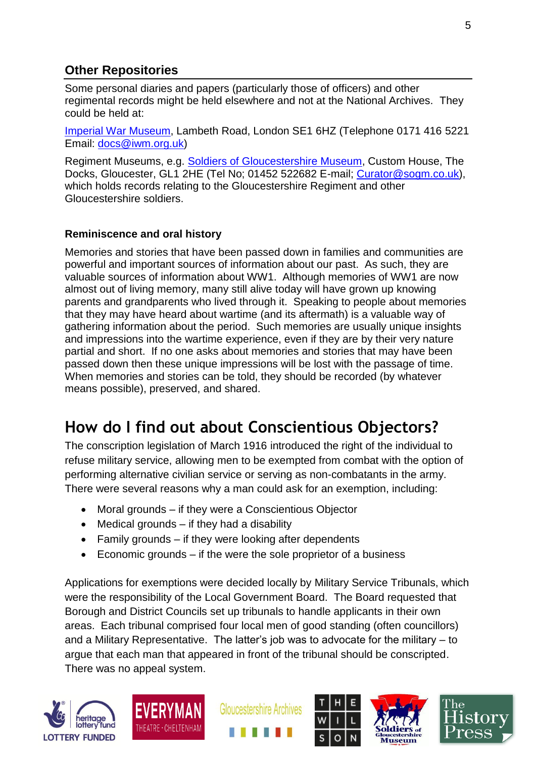### **Other Repositories**

Some personal diaries and papers (particularly those of officers) and other regimental records might be held elsewhere and not at the National Archives. They could be held at:

[Imperial War Museum,](http://www.iwm.org.uk/) Lambeth Road, London SE1 6HZ (Telephone 0171 416 5221 Email: [docs@iwm.org.uk\)](mailto:docs@iwm.org.uk)

Regiment Museums, e.g. [Soldiers of Gloucestershire Museum,](http://www.glosters.org.uk/) Custom House, The Docks, Gloucester, GL1 2HE (Tel No; 01452 522682 E-mail; [Curator@sogm.co.uk\)](mailto:Curator@sogm.co.uk), which holds records relating to the Gloucestershire Regiment and other Gloucestershire soldiers.

#### **Reminiscence and oral history**

Memories and stories that have been passed down in families and communities are powerful and important sources of information about our past. As such, they are valuable sources of information about WW1. Although memories of WW1 are now almost out of living memory, many still alive today will have grown up knowing parents and grandparents who lived through it. Speaking to people about memories that they may have heard about wartime (and its aftermath) is a valuable way of gathering information about the period. Such memories are usually unique insights and impressions into the wartime experience, even if they are by their very nature partial and short. If no one asks about memories and stories that may have been passed down then these unique impressions will be lost with the passage of time. When memories and stories can be told, they should be recorded (by whatever means possible), preserved, and shared.

## **How do I find out about Conscientious Objectors?**

The conscription legislation of March 1916 introduced the right of the individual to refuse military service, allowing men to be exempted from combat with the option of performing alternative civilian service or serving as non-combatants in the army. There were several reasons why a man could ask for an exemption, including:

- Moral grounds if they were a Conscientious Objector
- $\bullet$  Medical grounds  $-$  if they had a disability
- Family grounds if they were looking after dependents
- Economic grounds if the were the sole proprietor of a business

Applications for exemptions were decided locally by Military Service Tribunals, which were the responsibility of the Local Government Board. The Board requested that Borough and District Councils set up tribunals to handle applicants in their own areas. Each tribunal comprised four local men of good standing (often councillors) and a Military Representative. The latter's job was to advocate for the military – to argue that each man that appeared in front of the tribunal should be conscripted. There was no appeal system.











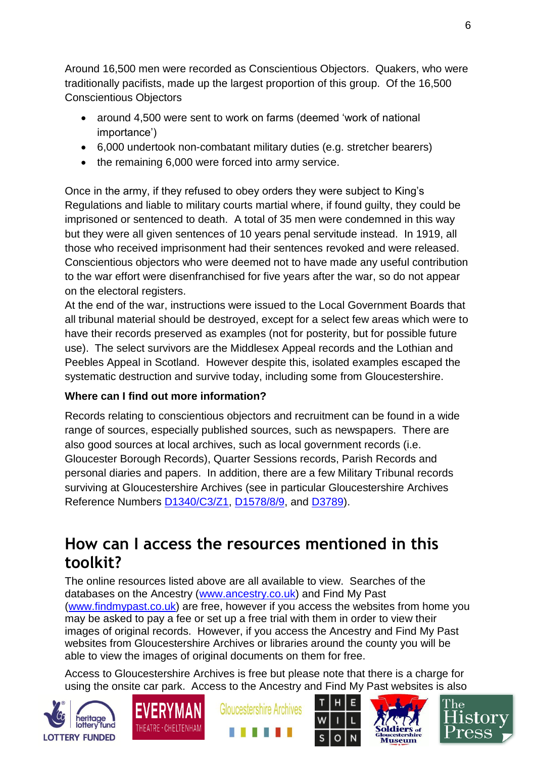Around 16,500 men were recorded as Conscientious Objectors. Quakers, who were traditionally pacifists, made up the largest proportion of this group. Of the 16,500 Conscientious Objectors

- around 4,500 were sent to work on farms (deemed 'work of national importance')
- 6,000 undertook non-combatant military duties (e.g. stretcher bearers)
- the remaining 6,000 were forced into army service.

Once in the army, if they refused to obey orders they were subject to King's Regulations and liable to military courts martial where, if found guilty, they could be imprisoned or sentenced to death. A total of 35 men were condemned in this way but they were all given sentences of 10 years penal servitude instead. In 1919, all those who received imprisonment had their sentences revoked and were released. Conscientious objectors who were deemed not to have made any useful contribution to the war effort were disenfranchised for five years after the war, so do not appear on the electoral registers.

At the end of the war, instructions were issued to the Local Government Boards that all tribunal material should be destroyed, except for a select few areas which were to have their records preserved as examples (not for posterity, but for possible future use). The select survivors are the Middlesex Appeal records and the Lothian and Peebles Appeal in Scotland. However despite this, isolated examples escaped the systematic destruction and survive today, including some from Gloucestershire.

#### **Where can I find out more information?**

Records relating to conscientious objectors and recruitment can be found in a wide range of sources, especially published sources, such as newspapers. There are also good sources at local archives, such as local government records (i.e. Gloucester Borough Records), Quarter Sessions records, Parish Records and personal diaries and papers. In addition, there are a few Military Tribunal records surviving at Gloucestershire Archives (see in particular Gloucestershire Archives Reference Numbers [D1340/C3/Z1,](http://ww3.gloucestershire.gov.uk/DServe/dserve.exe?dsqIni=DServeA.ini&dsqApp=Archive&dsqCmd=Show.tcl&dsqDb=Catalog&dsqPos=0&dsqSearch=%28%28text%29%3D%27military%20tribunals%27%29) [D1578/8/9,](http://ww3.gloucestershire.gov.uk/DServe/dserve.exe?dsqIni=DServeA.ini&dsqApp=Archive&dsqCmd=Show.tcl&dsqDb=Catalog&dsqPos=1&dsqSearch=%28%28%28text%29%3D%27thornbury%27%29%29AND%28%28%28text%29%3D%27tribunal%27%29%29) and [D3789\)](http://ww3.gloucestershire.gov.uk/DServe/dserve.exe?dsqIni=DServeA.ini&dsqApp=Archive&dsqCmd=Show.tcl&dsqDb=Catalog&dsqSearch=(((text)=).

### **How can I access the resources mentioned in this toolkit?**

The online resources listed above are all available to view. Searches of the databases on the Ancestry [\(www.ancestry.co.uk\)](http://www.ancestry.co.uk/) and Find My Past [\(www.findmypast.co.uk\)](http://www.findmypast.co.uk/) are free, however if you access the websites from home you may be asked to pay a fee or set up a free trial with them in order to view their images of original records. However, if you access the Ancestry and Find My Past websites from Gloucestershire Archives or libraries around the county you will be able to view the images of original documents on them for free.

Access to Gloucestershire Archives is free but please note that there is a charge for using the onsite car park. Access to the Ancestry and Find My Past websites is also











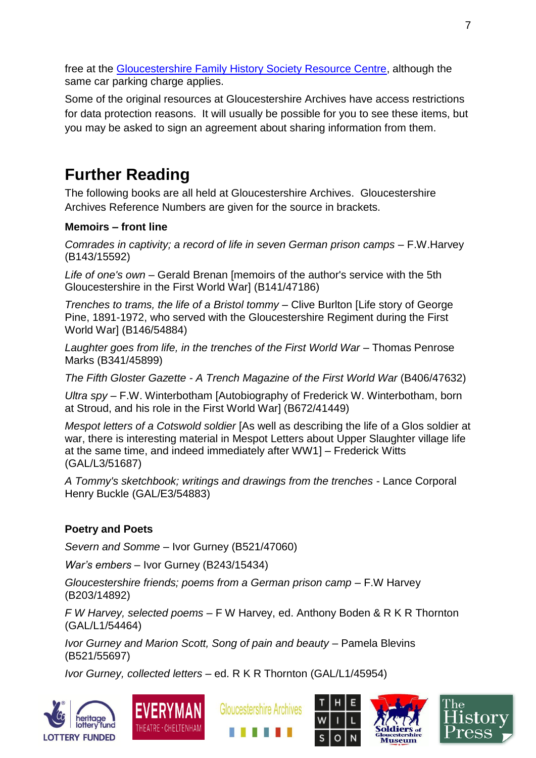free at the [Gloucestershire Family History Society Resource Centre,](http://gfhs.org.uk/the-family-history-centre/) although the same car parking charge applies.

Some of the original resources at Gloucestershire Archives have access restrictions for data protection reasons. It will usually be possible for you to see these items, but you may be asked to sign an agreement about sharing information from them.

## **Further Reading**

The following books are all held at Gloucestershire Archives. Gloucestershire Archives Reference Numbers are given for the source in brackets.

#### **Memoirs – front line**

*Comrades in captivity; a record of life in seven German prison camps* – F.W.Harvey (B143/15592)

*Life of one's own* – Gerald Brenan [memoirs of the author's service with the 5th Gloucestershire in the First World War] (B141/47186)

*Trenches to trams, the life of a Bristol tommy* – Clive Burlton [Life story of George Pine, 1891-1972, who served with the Gloucestershire Regiment during the First World War] (B146/54884)

*Laughter goes from life, in the trenches of the First World War* – Thomas Penrose Marks (B341/45899)

*The Fifth Gloster Gazette - A Trench Magazine of the First World War* (B406/47632)

*Ultra spy* – F.W. Winterbotham [Autobiography of Frederick W. Winterbotham, born at Stroud, and his role in the First World War] (B672/41449)

*Mespot letters of a Cotswold soldier* [As well as describing the life of a Glos soldier at war, there is interesting material in Mespot Letters about Upper Slaughter village life at the same time, and indeed immediately after WW1] – Frederick Witts (GAL/L3/51687)

*A Tommy's sketchbook; writings and drawings from the trenches* - Lance Corporal Henry Buckle (GAL/E3/54883)

#### **Poetry and Poets**

*Severn and Somme* – Ivor Gurney (B521/47060)

*War's embers* – Ivor Gurney (B243/15434)

*Gloucestershire friends; poems from a German prison camp* – F.W Harvey (B203/14892)

*F W Harvey, selected poems* – F W Harvey, ed. Anthony Boden & R K R Thornton (GAL/L1/54464)

*Ivor Gurney and Marion Scott, Song of pain and beauty* – Pamela Blevins (B521/55697)

*Ivor Gurney, collected letters* – ed. R K R Thornton (GAL/L1/45954)